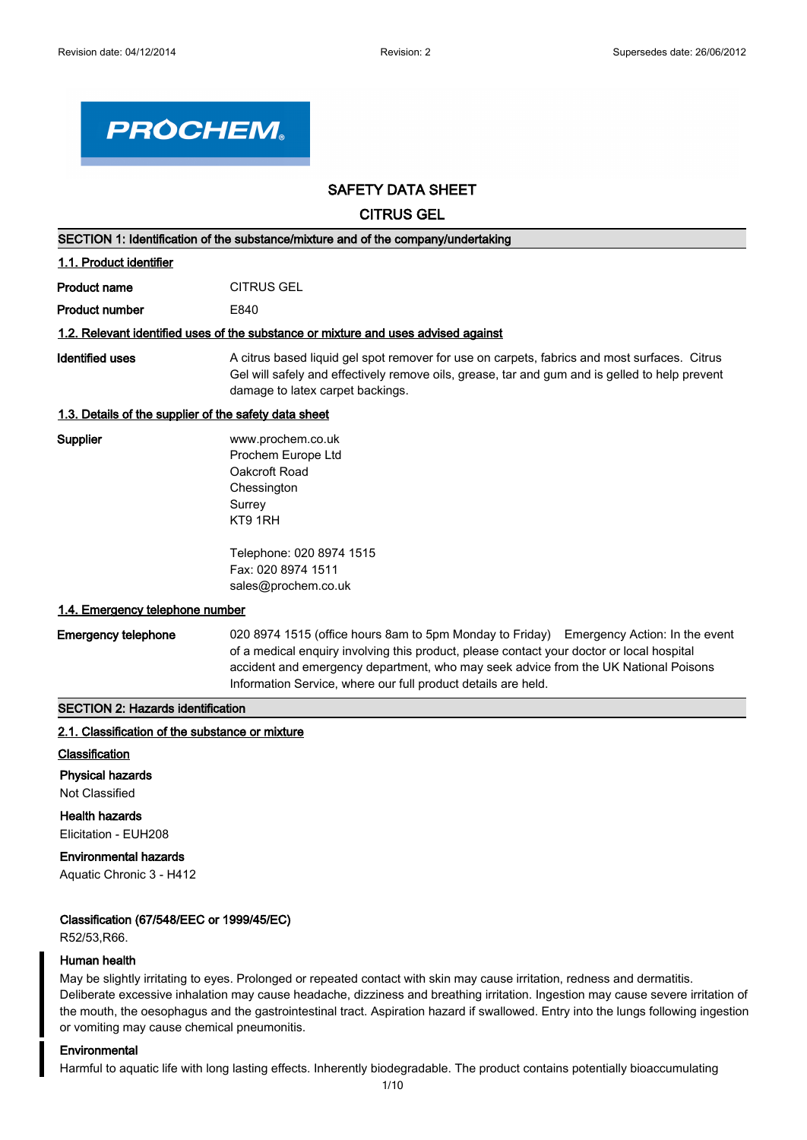

# **SAFETY DATA SHEET**

**CITRUS GEL**

| SECTION 1: Identification of the substance/mixture and of the company/undertaking |                                                                                                                                                                                                                                    |  |
|-----------------------------------------------------------------------------------|------------------------------------------------------------------------------------------------------------------------------------------------------------------------------------------------------------------------------------|--|
| 1.1. Product identifier                                                           |                                                                                                                                                                                                                                    |  |
| <b>Product name</b>                                                               | <b>CITRUS GEL</b>                                                                                                                                                                                                                  |  |
| <b>Product number</b>                                                             | E840                                                                                                                                                                                                                               |  |
|                                                                                   | 1.2. Relevant identified uses of the substance or mixture and uses advised against                                                                                                                                                 |  |
| Identified uses                                                                   | A citrus based liquid gel spot remover for use on carpets, fabrics and most surfaces. Citrus<br>Gel will safely and effectively remove oils, grease, tar and gum and is gelled to help prevent<br>damage to latex carpet backings. |  |
| 1.3. Details of the supplier of the safety data sheet                             |                                                                                                                                                                                                                                    |  |
| <b>Supplier</b>                                                                   | www.prochem.co.uk<br>Prochem Europe Ltd<br>Oakcroft Road<br>Chessington<br>Surrey<br>KT9 1RH                                                                                                                                       |  |
| 1.4. Emergency telephone number                                                   | Telephone: 020 8974 1515<br>Fax: 020 8974 1511<br>sales@prochem.co.uk                                                                                                                                                              |  |

**Emergency telephone** 020 8974 1515 (office hours 8am to 5pm Monday to Friday) Emergency Action: In the event of a medical enquiry involving this product, please contact your doctor or local hospital accident and emergency department, who may seek advice from the UK National Poisons Information Service, where our full product details are held.

# **SECTION 2: Hazards identification**

# **2.1. Classification of the substance or mixture**

### **Classification**

#### **Physical hazards**

Not Classified

**Health hazards** Elicitation - EUH208

# **Environmental hazards**

Aquatic Chronic 3 - H412

### **Classification (67/548/EEC or 1999/45/EC)**

R52/53,R66.

### **Human health**

May be slightly irritating to eyes. Prolonged or repeated contact with skin may cause irritation, redness and dermatitis. Deliberate excessive inhalation may cause headache, dizziness and breathing irritation. Ingestion may cause severe irritation of the mouth, the oesophagus and the gastrointestinal tract. Aspiration hazard if swallowed. Entry into the lungs following ingestion or vomiting may cause chemical pneumonitis.

### **Environmental**

Harmful to aquatic life with long lasting effects. Inherently biodegradable. The product contains potentially bioaccumulating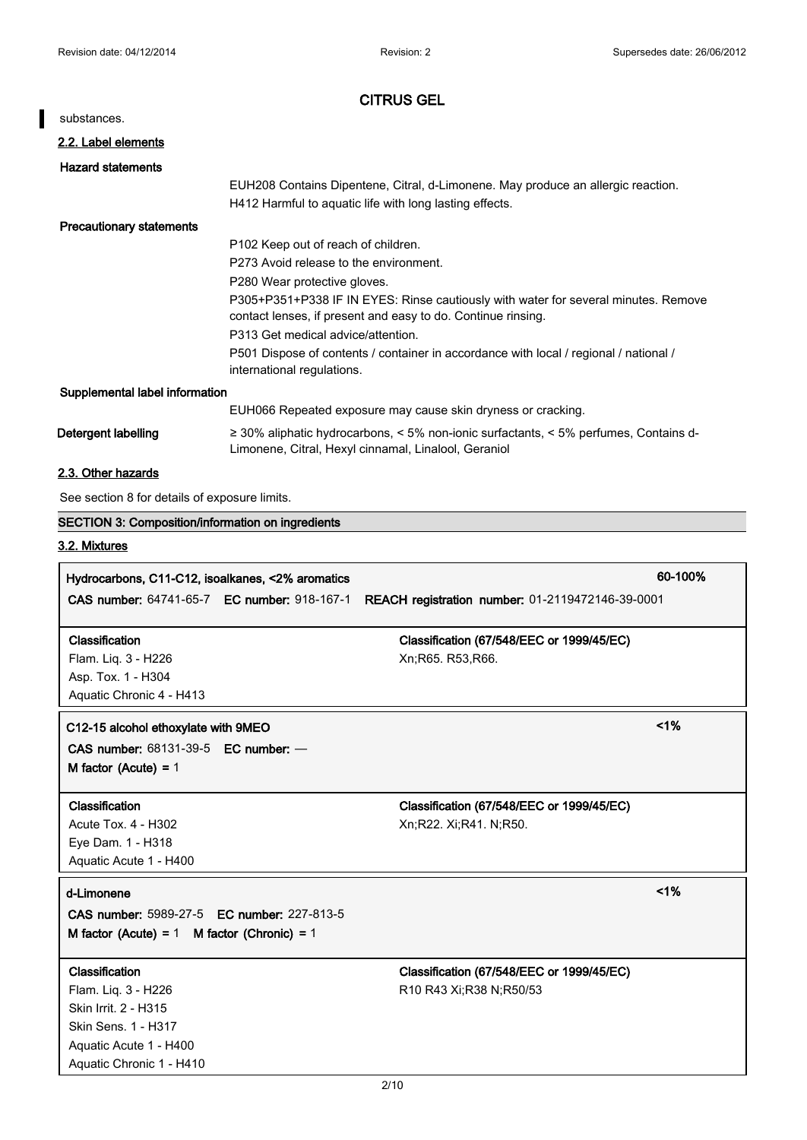$\overline{\phantom{a}}$ 

| <b>CITRUS GEL</b>                                        |                                                                                                                                              |         |
|----------------------------------------------------------|----------------------------------------------------------------------------------------------------------------------------------------------|---------|
| substances.                                              |                                                                                                                                              |         |
| 2.2. Label elements                                      |                                                                                                                                              |         |
| <b>Hazard statements</b>                                 |                                                                                                                                              |         |
|                                                          | EUH208 Contains Dipentene, Citral, d-Limonene. May produce an allergic reaction.                                                             |         |
|                                                          | H412 Harmful to aquatic life with long lasting effects.                                                                                      |         |
| <b>Precautionary statements</b>                          |                                                                                                                                              |         |
|                                                          | P102 Keep out of reach of children.                                                                                                          |         |
|                                                          | P273 Avoid release to the environment.                                                                                                       |         |
|                                                          | P280 Wear protective gloves.                                                                                                                 |         |
|                                                          | P305+P351+P338 IF IN EYES: Rinse cautiously with water for several minutes. Remove                                                           |         |
|                                                          | contact lenses, if present and easy to do. Continue rinsing.<br>P313 Get medical advice/attention.                                           |         |
|                                                          | P501 Dispose of contents / container in accordance with local / regional / national /                                                        |         |
|                                                          | international regulations.                                                                                                                   |         |
| Supplemental label information                           |                                                                                                                                              |         |
|                                                          | EUH066 Repeated exposure may cause skin dryness or cracking.                                                                                 |         |
| Detergent labelling                                      | ≥ 30% aliphatic hydrocarbons, < 5% non-ionic surfactants, < 5% perfumes, Contains d-<br>Limonene, Citral, Hexyl cinnamal, Linalool, Geraniol |         |
| 2.3. Other hazards                                       |                                                                                                                                              |         |
| See section 8 for details of exposure limits.            |                                                                                                                                              |         |
| <b>SECTION 3: Composition/information on ingredients</b> |                                                                                                                                              |         |
| 3.2. Mixtures                                            |                                                                                                                                              |         |
|                                                          |                                                                                                                                              |         |
| Hydrocarbons, C11-C12, isoalkanes, <2% aromatics         |                                                                                                                                              | 60-100% |
| CAS number: 64741-65-7 EC number: 918-167-1              | REACH registration number: 01-2119472146-39-0001                                                                                             |         |
| Classification                                           | Classification (67/548/EEC or 1999/45/EC)                                                                                                    |         |
| Flam. Liq. 3 - H226                                      | Xn;R65. R53,R66.                                                                                                                             |         |
| Asp. Tox. 1 - H304                                       |                                                                                                                                              |         |
| Aquatic Chronic 4 - H413                                 |                                                                                                                                              |         |
| C12-15 alcohol ethoxylate with 9MEO                      |                                                                                                                                              | $<$ 1%  |
| <b>CAS number: 68131-39-5 EC number: -</b>               |                                                                                                                                              |         |
| M factor (Acute) = $1$                                   |                                                                                                                                              |         |
|                                                          |                                                                                                                                              |         |
| Classification                                           | Classification (67/548/EEC or 1999/45/EC)                                                                                                    |         |
| Acute Tox. 4 - H302                                      | Xn;R22. Xi;R41. N;R50.                                                                                                                       |         |
| Eye Dam. 1 - H318                                        |                                                                                                                                              |         |
| Aquatic Acute 1 - H400                                   |                                                                                                                                              |         |
| d-Limonene                                               |                                                                                                                                              | $<$ 1%  |
| <b>CAS number: 5989-27-5 EC number: 227-813-5</b>        |                                                                                                                                              |         |
| M factor (Acute) = $1$ M factor (Chronic) = $1$          |                                                                                                                                              |         |
| Classification                                           | Classification (67/548/EEC or 1999/45/EC)                                                                                                    |         |
| Flam. Liq. 3 - H226                                      | R10 R43 Xi; R38 N; R50/53                                                                                                                    |         |
| Skin Irrit. 2 - H315                                     |                                                                                                                                              |         |
| Skin Sens. 1 - H317                                      |                                                                                                                                              |         |
| Aquatic Acute 1 - H400                                   |                                                                                                                                              |         |
| Aquatic Chronic 1 - H410                                 |                                                                                                                                              |         |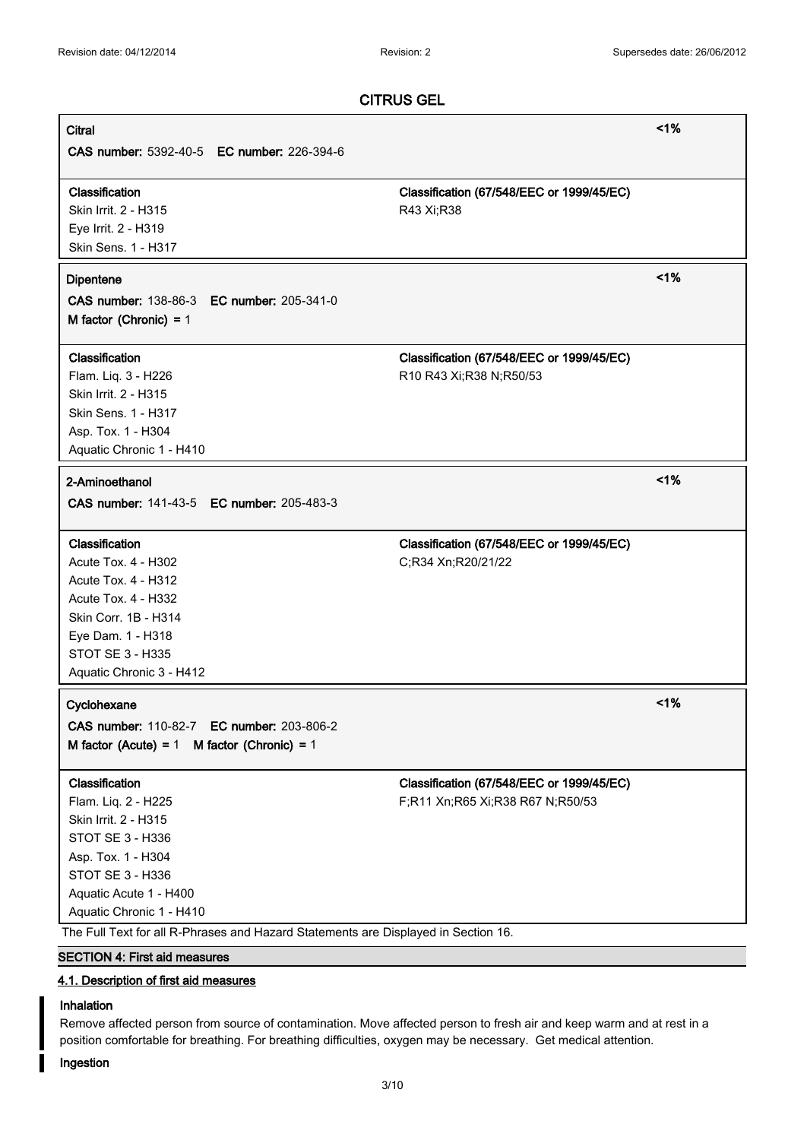| <b>Citral</b>                                                                      |                                           | $<$ 1%  |
|------------------------------------------------------------------------------------|-------------------------------------------|---------|
| <b>CAS number: 5392-40-5 EC number: 226-394-6</b>                                  |                                           |         |
|                                                                                    |                                           |         |
| Classification                                                                     | Classification (67/548/EEC or 1999/45/EC) |         |
| Skin Irrit. 2 - H315                                                               | R43 Xi;R38                                |         |
| Eye Irrit. 2 - H319                                                                |                                           |         |
| Skin Sens. 1 - H317                                                                |                                           |         |
| <b>Dipentene</b>                                                                   |                                           | 1%      |
| CAS number: 138-86-3 EC number: 205-341-0                                          |                                           |         |
| M factor (Chronic) = $1$                                                           |                                           |         |
|                                                                                    |                                           |         |
| Classification                                                                     | Classification (67/548/EEC or 1999/45/EC) |         |
| Flam. Liq. 3 - H226                                                                | R10 R43 Xi; R38 N; R50/53                 |         |
| Skin Irrit. 2 - H315                                                               |                                           |         |
| <b>Skin Sens. 1 - H317</b>                                                         |                                           |         |
| Asp. Tox. 1 - H304                                                                 |                                           |         |
| Aquatic Chronic 1 - H410                                                           |                                           |         |
| 2-Aminoethanol                                                                     |                                           | 1%      |
| CAS number: 141-43-5 EC number: 205-483-3                                          |                                           |         |
|                                                                                    |                                           |         |
| Classification                                                                     | Classification (67/548/EEC or 1999/45/EC) |         |
| Acute Tox. 4 - H302                                                                | C;R34 Xn;R20/21/22                        |         |
| Acute Tox. 4 - H312                                                                |                                           |         |
| Acute Tox. 4 - H332                                                                |                                           |         |
| Skin Corr. 1B - H314                                                               |                                           |         |
| Eye Dam. 1 - H318                                                                  |                                           |         |
| <b>STOT SE 3 - H335</b>                                                            |                                           |         |
| Aquatic Chronic 3 - H412                                                           |                                           |         |
| Cyclohexane                                                                        |                                           | $< 1\%$ |
| CAS number: 110-82-7 EC number: 203-806-2                                          |                                           |         |
| M factor (Acute) = 1 M factor (Chronic) = 1                                        |                                           |         |
|                                                                                    |                                           |         |
| Classification                                                                     | Classification (67/548/EEC or 1999/45/EC) |         |
| Flam. Liq. 2 - H225                                                                | F;R11 Xn;R65 Xi;R38 R67 N;R50/53          |         |
| Skin Irrit. 2 - H315                                                               |                                           |         |
| STOT SE 3 - H336                                                                   |                                           |         |
| Asp. Tox. 1 - H304                                                                 |                                           |         |
| STOT SE 3 - H336                                                                   |                                           |         |
| Aquatic Acute 1 - H400                                                             |                                           |         |
| Aquatic Chronic 1 - H410                                                           |                                           |         |
| The Full Text for all R-Phrases and Hazard Statements are Displayed in Section 16. |                                           |         |
| <b>SECTION 4: First aid measures</b>                                               |                                           |         |

# **4.1. Description of first aid measures**

# **Inhalation**

Remove affected person from source of contamination. Move affected person to fresh air and keep warm and at rest in a position comfortable for breathing. For breathing difficulties, oxygen may be necessary. Get medical attention.

# **Ingestion**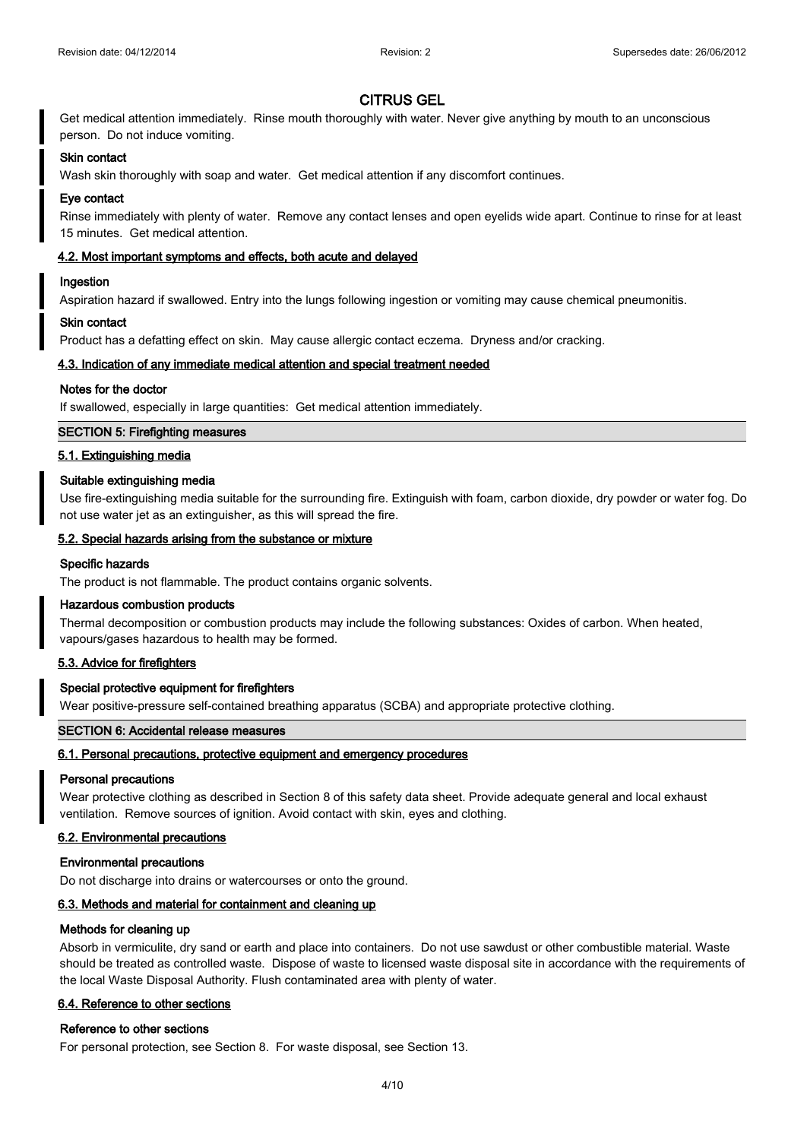Get medical attention immediately. Rinse mouth thoroughly with water. Never give anything by mouth to an unconscious person. Do not induce vomiting.

### **Skin contact**

Wash skin thoroughly with soap and water. Get medical attention if any discomfort continues.

### **Eye contact**

Rinse immediately with plenty of water. Remove any contact lenses and open eyelids wide apart. Continue to rinse for at least 15 minutes. Get medical attention.

### **4.2. Most important symptoms and effects, both acute and delayed**

### **Ingestion**

Aspiration hazard if swallowed. Entry into the lungs following ingestion or vomiting may cause chemical pneumonitis.

### **Skin contact**

Product has a defatting effect on skin. May cause allergic contact eczema. Dryness and/or cracking.

### **4.3. Indication of any immediate medical attention and special treatment needed**

### **Notes for the doctor**

If swallowed, especially in large quantities: Get medical attention immediately.

### **SECTION 5: Firefighting measures**

### **5.1. Extinguishing media**

### **Suitable extinguishing media**

Use fire-extinguishing media suitable for the surrounding fire. Extinguish with foam, carbon dioxide, dry powder or water fog. Do not use water jet as an extinguisher, as this will spread the fire.

### **5.2. Special hazards arising from the substance or mixture**

### **Specific hazards**

The product is not flammable. The product contains organic solvents.

### **Hazardous combustion products**

Thermal decomposition or combustion products may include the following substances: Oxides of carbon. When heated, vapours/gases hazardous to health may be formed.

### **5.3. Advice for firefighters**

### **Special protective equipment for firefighters**

Wear positive-pressure self-contained breathing apparatus (SCBA) and appropriate protective clothing.

### **SECTION 6: Accidental release measures**

#### **6.1. Personal precautions, protective equipment and emergency procedures**

#### **Personal precautions**

Wear protective clothing as described in Section 8 of this safety data sheet. Provide adequate general and local exhaust ventilation. Remove sources of ignition. Avoid contact with skin, eyes and clothing.

### **6.2. Environmental precautions**

#### **Environmental precautions**

Do not discharge into drains or watercourses or onto the ground.

### **6.3. Methods and material for containment and cleaning up**

#### **Methods for cleaning up**

Absorb in vermiculite, dry sand or earth and place into containers. Do not use sawdust or other combustible material. Waste should be treated as controlled waste. Dispose of waste to licensed waste disposal site in accordance with the requirements of the local Waste Disposal Authority. Flush contaminated area with plenty of water.

### **6.4. Reference to other sections**

#### **Reference to other sections**

For personal protection, see Section 8. For waste disposal, see Section 13.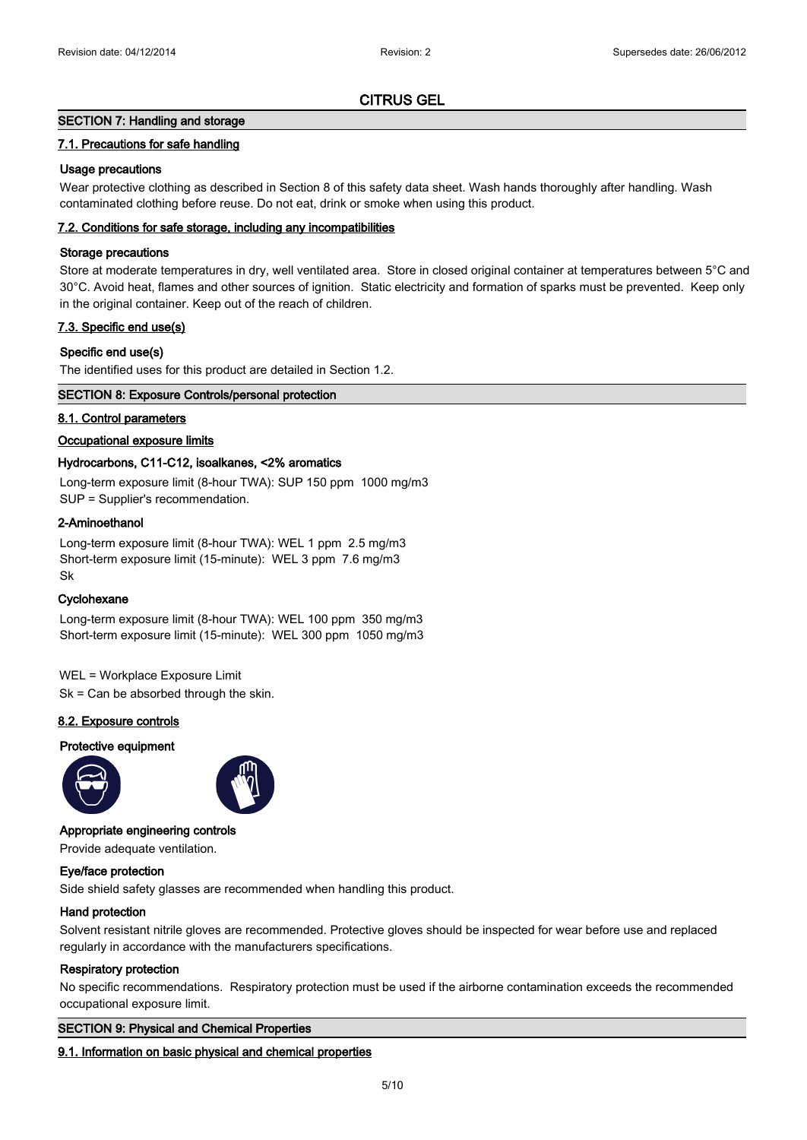# **SECTION 7: Handling and storage**

# **7.1. Precautions for safe handling**

# **Usage precautions**

Wear protective clothing as described in Section 8 of this safety data sheet. Wash hands thoroughly after handling. Wash contaminated clothing before reuse. Do not eat, drink or smoke when using this product.

# **7.2. Conditions for safe storage, including any incompatibilities**

### **Storage precautions**

Store at moderate temperatures in dry, well ventilated area. Store in closed original container at temperatures between 5°C and 30°C. Avoid heat, flames and other sources of ignition. Static electricity and formation of sparks must be prevented. Keep only in the original container. Keep out of the reach of children.

# **7.3. Specific end use(s)**

# **Specific end use(s)**

The identified uses for this product are detailed in Section 1.2.

### **SECTION 8: Exposure Controls/personal protection**

# **8.1. Control parameters**

# **Occupational exposure limits**

# **Hydrocarbons, C11-C12, isoalkanes, <2% aromatics**

Long-term exposure limit (8-hour TWA): SUP 150 ppm 1000 mg/m3 SUP = Supplier's recommendation.

# **2-Aminoethanol**

Long-term exposure limit (8-hour TWA): WEL 1 ppm 2.5 mg/m3 Short-term exposure limit (15-minute): WEL 3 ppm 7.6 mg/m3 Sk

### **Cyclohexane**

Long-term exposure limit (8-hour TWA): WEL 100 ppm 350 mg/m3 Short-term exposure limit (15-minute): WEL 300 ppm 1050 mg/m3

WEL = Workplace Exposure Limit Sk = Can be absorbed through the skin.

# **8.2. Exposure controls**

### **Protective equipment**





### **Appropriate engineering controls**

Provide adequate ventilation.

### **Eye/face protection**

Side shield safety glasses are recommended when handling this product.

# **Hand protection**

Solvent resistant nitrile gloves are recommended. Protective gloves should be inspected for wear before use and replaced regularly in accordance with the manufacturers specifications.

### **Respiratory protection**

No specific recommendations. Respiratory protection must be used if the airborne contamination exceeds the recommended occupational exposure limit.

### **SECTION 9: Physical and Chemical Properties**

### **9.1. Information on basic physical and chemical properties**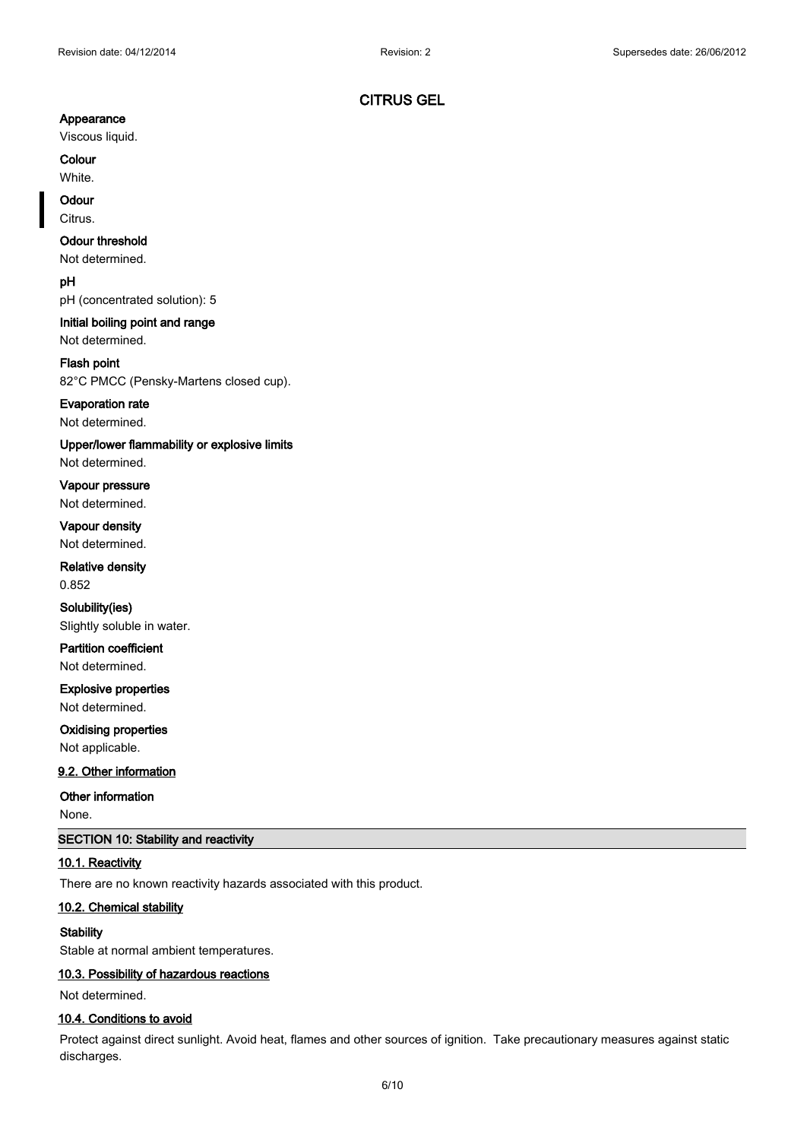# **Appearance**

Viscous liquid.

**Colour** White.

# **Odour**

Citrus.

# **Odour threshold**

Not determined.

**pH**

pH (concentrated solution): 5

# **Initial boiling point and range**

Not determined.

# **Flash point**

82°C PMCC (Pensky-Martens closed cup).

### **Evaporation rate**

Not determined.

### **Upper/lower flammability or explosive limits**

Not determined.

**Vapour pressure** Not determined.

**Vapour density** Not determined.

**Relative density** 0.852

**Solubility(ies)** Slightly soluble in water.

**Partition coefficient** Not determined.

**Explosive properties** Not determined.

# **Oxidising properties**

Not applicable.

# **9.2. Other information**

### **Other information**

None.

# **SECTION 10: Stability and reactivity**

# **10.1. Reactivity**

There are no known reactivity hazards associated with this product.

### **10.2. Chemical stability**

# **Stability**

Stable at normal ambient temperatures.

# **10.3. Possibility of hazardous reactions**

Not determined.

## **10.4. Conditions to avoid**

Protect against direct sunlight. Avoid heat, flames and other sources of ignition. Take precautionary measures against static discharges.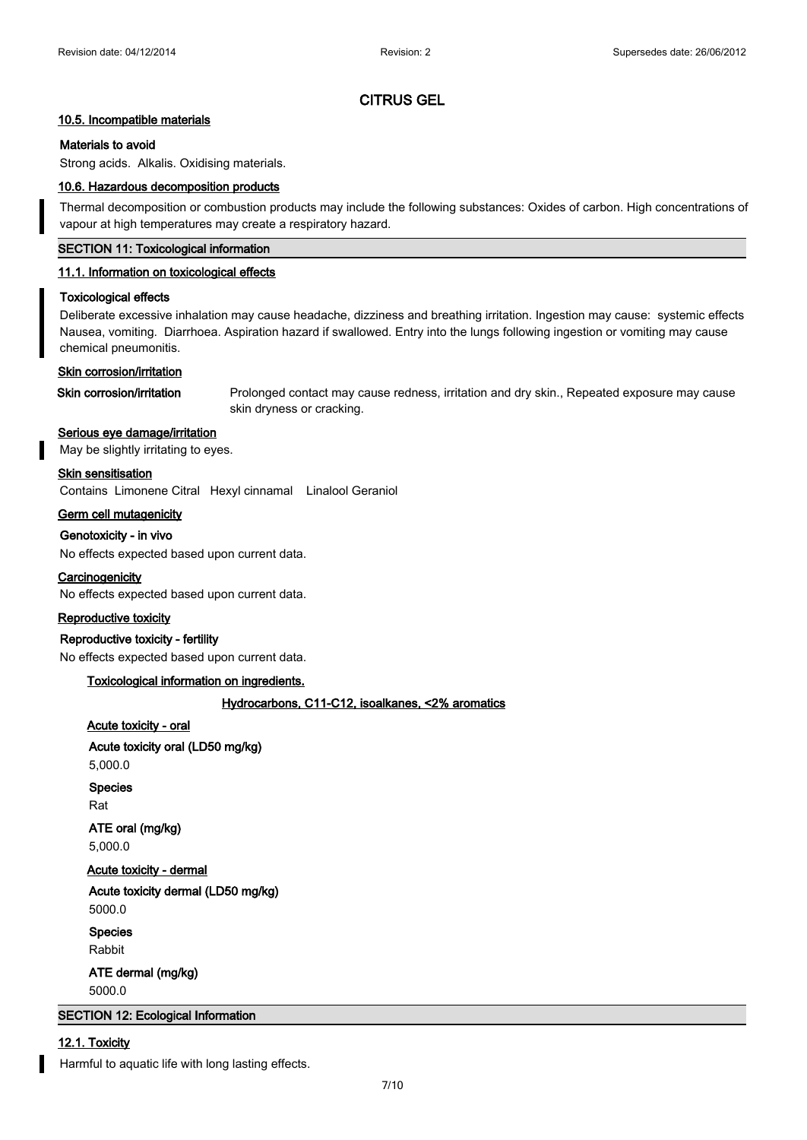### **10.5. Incompatible materials**

### **Materials to avoid**

Strong acids. Alkalis. Oxidising materials.

#### **10.6. Hazardous decomposition products**

Thermal decomposition or combustion products may include the following substances: Oxides of carbon. High concentrations of vapour at high temperatures may create a respiratory hazard.

# **SECTION 11: Toxicological information**

### **11.1. Information on toxicological effects**

#### **Toxicological effects**

Deliberate excessive inhalation may cause headache, dizziness and breathing irritation. Ingestion may cause: systemic effects Nausea, vomiting. Diarrhoea. Aspiration hazard if swallowed. Entry into the lungs following ingestion or vomiting may cause chemical pneumonitis.

#### **Skin corrosion/irritation**

**Skin corrosion/irritation** Prolonged contact may cause redness, irritation and dry skin., Repeated exposure may cause skin dryness or cracking.

# **Serious eye damage/irritation**

May be slightly irritating to eyes.

#### **Skin sensitisation**

Contains Limonene Citral Hexyl cinnamal Linalool Geraniol

**Germ cell mutagenicity**

#### **Genotoxicity - in vivo**

No effects expected based upon current data.

### **Carcinogenicity**

No effects expected based upon current data.

#### **Reproductive toxicity**

#### **Reproductive toxicity - fertility**

No effects expected based upon current data.

# **Toxicological information on ingredients.**

### **Hydrocarbons, C11-C12, isoalkanes, <2% aromatics**

### **Acute toxicity - oral**

**Acute toxicity oral (LD50 mg/kg)** 5,000.0

#### **Species**

Rat

**ATE oral (mg/kg)** 5,000.0

# **Acute toxicity - dermal**

**Acute toxicity dermal (LD50 mg/kg)** 5000.0

**Species**

Rabbit

**ATE dermal (mg/kg)**

5000.0

# **SECTION 12: Ecological Information**

# **12.1. Toxicity**

Harmful to aquatic life with long lasting effects.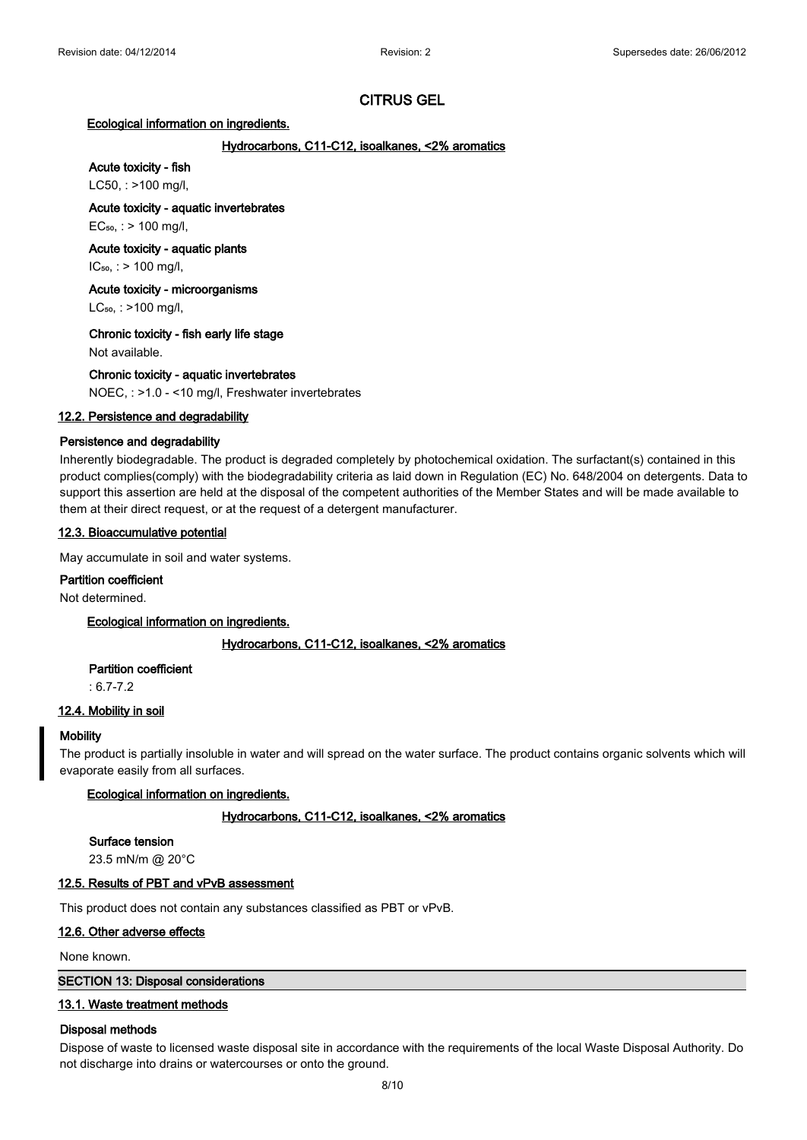### **Ecological information on ingredients.**

# **Hydrocarbons, C11-C12, isoalkanes, <2% aromatics**

# **Acute toxicity - fish**

LC50, : >100 mg/l,

### **Acute toxicity - aquatic invertebrates**

 $EC_{50}$ , : > 100 mg/l,

# **Acute toxicity - aquatic plants**

 $IC_{50}$ , : > 100 mg/l,

# **Acute toxicity - microorganisms**

 $LC_{50}$ , : >100 mg/l,

# **Chronic toxicity - fish early life stage**

Not available.

# **Chronic toxicity - aquatic invertebrates**

NOEC, : >1.0 - <10 mg/l, Freshwater invertebrates

# **12.2. Persistence and degradability**

# **Persistence and degradability**

Inherently biodegradable. The product is degraded completely by photochemical oxidation. The surfactant(s) contained in this product complies(comply) with the biodegradability criteria as laid down in Regulation (EC) No. 648/2004 on detergents. Data to support this assertion are held at the disposal of the competent authorities of the Member States and will be made available to them at their direct request, or at the request of a detergent manufacturer.

# **12.3. Bioaccumulative potential**

May accumulate in soil and water systems.

### **Partition coefficient**

Not determined.

**Ecological information on ingredients.**

### **Hydrocarbons, C11-C12, isoalkanes, <2% aromatics**

### **Partition coefficient**

: 6.7-7.2

# **12.4. Mobility in soil**

### **Mobility**

The product is partially insoluble in water and will spread on the water surface. The product contains organic solvents which will evaporate easily from all surfaces.

### **Ecological information on ingredients.**

### **Hydrocarbons, C11-C12, isoalkanes, <2% aromatics**

### **Surface tension**

23.5 mN/m @ 20°C

# **12.5. Results of PBT and vPvB assessment**

This product does not contain any substances classified as PBT or vPvB.

### **12.6. Other adverse effects**

None known.

# **SECTION 13: Disposal considerations**

# **13.1. Waste treatment methods**

### **Disposal methods**

Dispose of waste to licensed waste disposal site in accordance with the requirements of the local Waste Disposal Authority. Do not discharge into drains or watercourses or onto the ground.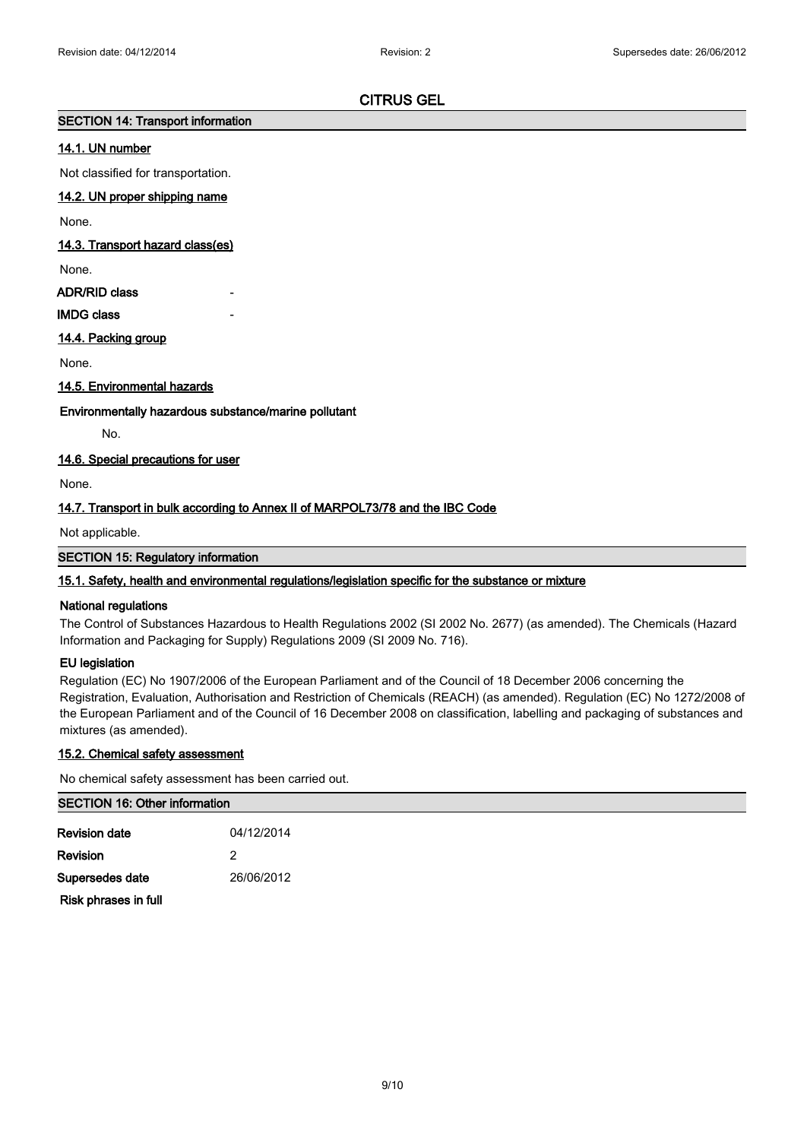# **SECTION 14: Transport information**

# **14.1. UN number**

Not classified for transportation.

# **14.2. UN proper shipping name**

None.

# **14.3. Transport hazard class(es)**

None.

# **ADR/RID class**

**IMDG class** 

# **14.4. Packing group**

None.

# **14.5. Environmental hazards**

# **Environmentally hazardous substance/marine pollutant**

No.

# **14.6. Special precautions for user**

None.

# **14.7. Transport in bulk according to Annex II of MARPOL73/78 and the IBC Code**

Not applicable.

# **SECTION 15: Regulatory information**

# **15.1. Safety, health and environmental regulations/legislation specific for the substance or mixture**

# **National regulations**

The Control of Substances Hazardous to Health Regulations 2002 (SI 2002 No. 2677) (as amended). The Chemicals (Hazard Information and Packaging for Supply) Regulations 2009 (SI 2009 No. 716).

### **EU legislation**

Regulation (EC) No 1907/2006 of the European Parliament and of the Council of 18 December 2006 concerning the Registration, Evaluation, Authorisation and Restriction of Chemicals (REACH) (as amended). Regulation (EC) No 1272/2008 of the European Parliament and of the Council of 16 December 2008 on classification, labelling and packaging of substances and mixtures (as amended).

# **15.2. Chemical safety assessment**

No chemical safety assessment has been carried out.

# **SECTION 16: Other information**

| Revision date        | 04/12/2014 |
|----------------------|------------|
| Revision             | 2          |
| Supersedes date      | 26/06/2012 |
| Risk phrases in full |            |